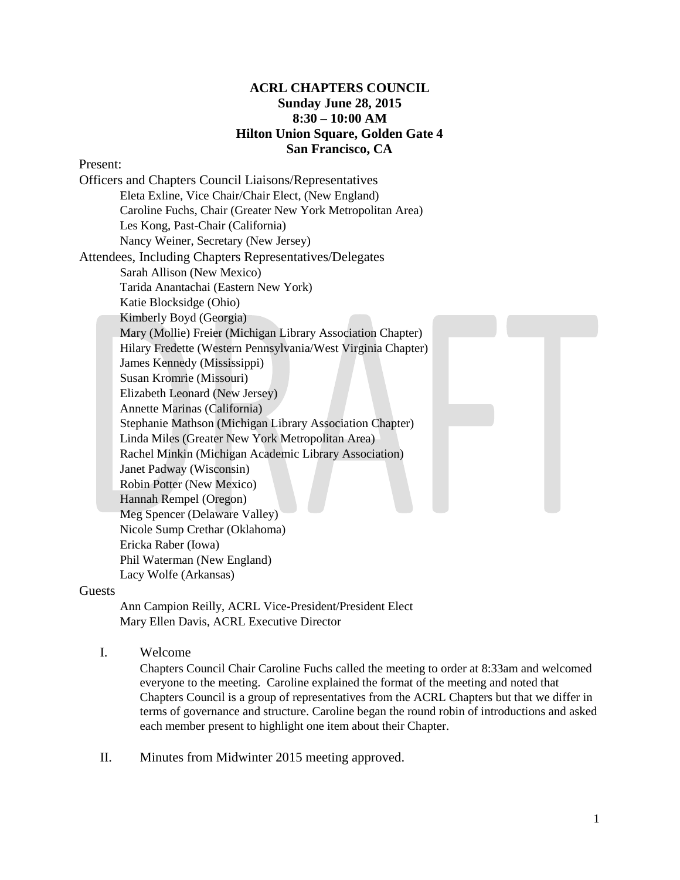# **ACRL CHAPTERS COUNCIL Sunday June 28, 2015 8:30 – 10:00 AM Hilton Union Square, Golden Gate 4 San Francisco, CA**

#### Present:

#### Guests

Ann Campion Reilly, ACRL Vice-President/President Elect Mary Ellen Davis, ACRL Executive Director

I. Welcome

Chapters Council Chair Caroline Fuchs called the meeting to order at 8:33am and welcomed everyone to the meeting. Caroline explained the format of the meeting and noted that Chapters Council is a group of representatives from the ACRL Chapters but that we differ in terms of governance and structure. Caroline began the round robin of introductions and asked each member present to highlight one item about their Chapter.

II. Minutes from Midwinter 2015 meeting approved.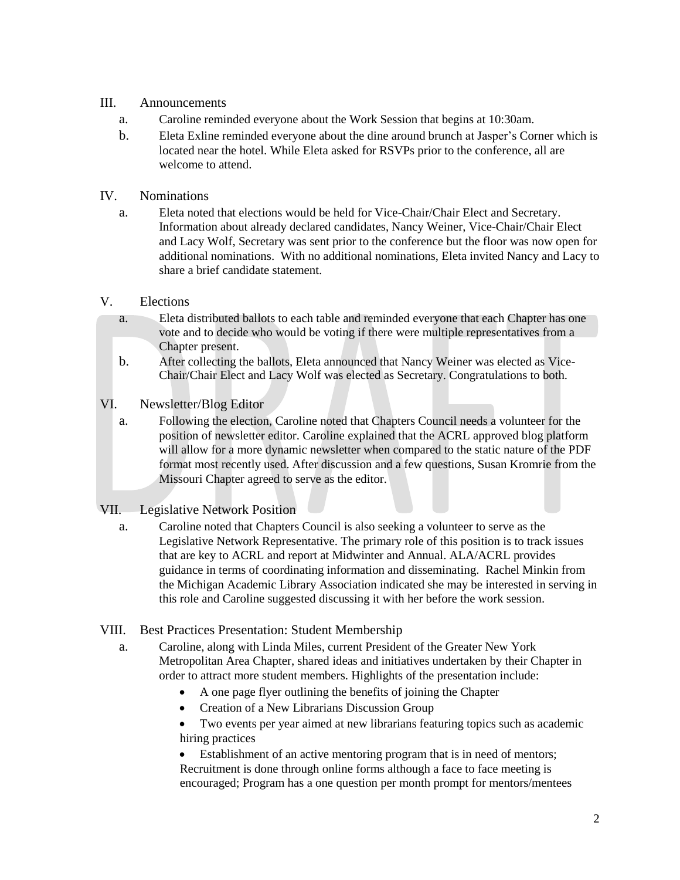# III. Announcements

- a. Caroline reminded everyone about the Work Session that begins at 10:30am.
- b. Eleta Exline reminded everyone about the dine around brunch at Jasper's Corner which is located near the hotel. While Eleta asked for RSVPs prior to the conference, all are welcome to attend.

## IV. Nominations

a. Eleta noted that elections would be held for Vice-Chair/Chair Elect and Secretary. Information about already declared candidates, Nancy Weiner, Vice-Chair/Chair Elect and Lacy Wolf, Secretary was sent prior to the conference but the floor was now open for additional nominations. With no additional nominations, Eleta invited Nancy and Lacy to share a brief candidate statement.

## V. Elections

- a. Eleta distributed ballots to each table and reminded everyone that each Chapter has one vote and to decide who would be voting if there were multiple representatives from a Chapter present.
- b. After collecting the ballots, Eleta announced that Nancy Weiner was elected as Vice-Chair/Chair Elect and Lacy Wolf was elected as Secretary. Congratulations to both.

## VI. Newsletter/Blog Editor

a. Following the election, Caroline noted that Chapters Council needs a volunteer for the position of newsletter editor. Caroline explained that the ACRL approved blog platform will allow for a more dynamic newsletter when compared to the static nature of the PDF format most recently used. After discussion and a few questions, Susan Kromrie from the Missouri Chapter agreed to serve as the editor.

#### VII. Legislative Network Position

- a. Caroline noted that Chapters Council is also seeking a volunteer to serve as the Legislative Network Representative. The primary role of this position is to track issues that are key to ACRL and report at Midwinter and Annual. ALA/ACRL provides guidance in terms of coordinating information and disseminating. Rachel Minkin from the Michigan Academic Library Association indicated she may be interested in serving in this role and Caroline suggested discussing it with her before the work session.
- VIII. Best Practices Presentation: Student Membership
	- a. Caroline, along with Linda Miles, current President of the Greater New York Metropolitan Area Chapter, shared ideas and initiatives undertaken by their Chapter in order to attract more student members. Highlights of the presentation include:
		- A one page flyer outlining the benefits of joining the Chapter
		- Creation of a New Librarians Discussion Group
		- Two events per year aimed at new librarians featuring topics such as academic hiring practices

 Establishment of an active mentoring program that is in need of mentors; Recruitment is done through online forms although a face to face meeting is encouraged; Program has a one question per month prompt for mentors/mentees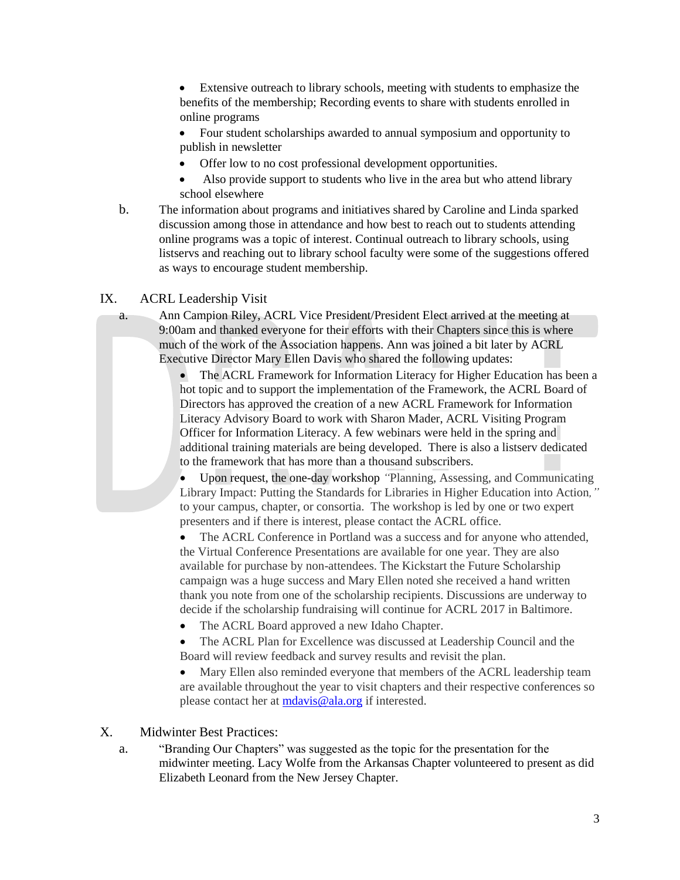Extensive outreach to library schools, meeting with students to emphasize the benefits of the membership; Recording events to share with students enrolled in online programs

 Four student scholarships awarded to annual symposium and opportunity to publish in newsletter

- Offer low to no cost professional development opportunities.
- Also provide support to students who live in the area but who attend library school elsewhere
- b. The information about programs and initiatives shared by Caroline and Linda sparked discussion among those in attendance and how best to reach out to students attending online programs was a topic of interest. Continual outreach to library schools, using listservs and reaching out to library school faculty were some of the suggestions offered as ways to encourage student membership.

# IX. ACRL Leadership Visit

a. Ann Campion Riley, ACRL Vice President/President Elect arrived at the meeting at 9:00am and thanked everyone for their efforts with their Chapters since this is where much of the work of the Association happens. Ann was joined a bit later by ACRL Executive Director Mary Ellen Davis who shared the following updates:

> The ACRL Framework for Information Literacy for Higher Education has been a hot topic and to support the implementation of the Framework, the ACRL Board of Directors has approved the creation of a new ACRL Framework for Information Literacy Advisory Board to work with Sharon Mader, ACRL Visiting Program Officer for Information Literacy. A few webinars were held in the spring and additional training materials are being developed. There is also a listserv dedicated to the framework that has more than a thousand subscribers.

> Upon request, the one-day workshop *"*Planning, Assessing, and Communicating Library Impact: Putting the Standards for Libraries in Higher Education into Action*,"*  to your campus, chapter, or consortia. The workshop is led by one or two expert presenters and if there is interest, please contact the ACRL office.

 The ACRL Conference in Portland was a success and for anyone who attended, the Virtual Conference Presentations are available for one year. They are also available for purchase by non-attendees. The Kickstart the Future Scholarship campaign was a huge success and Mary Ellen noted she received a hand written thank you note from one of the scholarship recipients. Discussions are underway to decide if the scholarship fundraising will continue for ACRL 2017 in Baltimore.

• The ACRL Board approved a new Idaho Chapter.

 The ACRL Plan for Excellence was discussed at Leadership Council and the Board will review feedback and survey results and revisit the plan.

 Mary Ellen also reminded everyone that members of the ACRL leadership team are available throughout the year to visit chapters and their respective conferences so please contact her at [mdavis@ala.org](mailto:mdavis@ala.org) if interested.

## X. Midwinter Best Practices:

a. "Branding Our Chapters" was suggested as the topic for the presentation for the midwinter meeting. Lacy Wolfe from the Arkansas Chapter volunteered to present as did Elizabeth Leonard from the New Jersey Chapter.